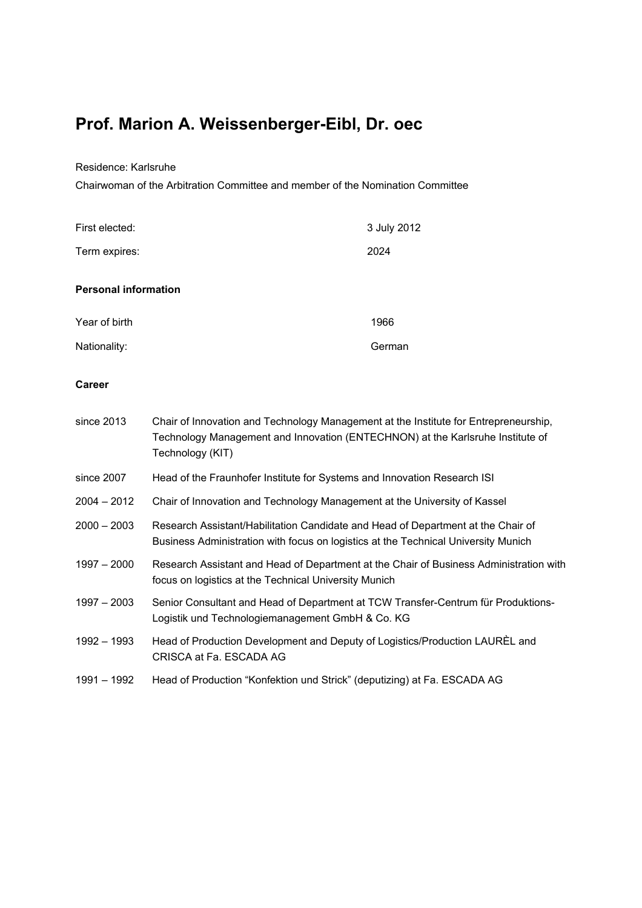# **Prof. Marion A. Weissenberger-Eibl, Dr. oec**

Residence: Karlsruhe

Chairwoman of the Arbitration Committee and member of the Nomination Committee

| First elected:              | 3 July 2012 |
|-----------------------------|-------------|
| Term expires:               | 2024        |
| <b>Personal information</b> |             |
| Year of birth               | 1966        |
| Nationality:                | German      |

## **Career**

| since 2013    | Chair of Innovation and Technology Management at the Institute for Entrepreneurship,<br>Technology Management and Innovation (ENTECHNON) at the Karlsruhe Institute of<br>Technology (KIT) |
|---------------|--------------------------------------------------------------------------------------------------------------------------------------------------------------------------------------------|
| since 2007    | Head of the Fraunhofer Institute for Systems and Innovation Research ISI                                                                                                                   |
| $2004 - 2012$ | Chair of Innovation and Technology Management at the University of Kassel                                                                                                                  |
| $2000 - 2003$ | Research Assistant/Habilitation Candidate and Head of Department at the Chair of<br>Business Administration with focus on logistics at the Technical University Munich                     |
| $1997 - 2000$ | Research Assistant and Head of Department at the Chair of Business Administration with<br>focus on logistics at the Technical University Munich                                            |
| $1997 - 2003$ | Senior Consultant and Head of Department at TCW Transfer-Centrum für Produktions-<br>Logistik und Technologiemanagement GmbH & Co. KG                                                      |
| 1992 - 1993   | Head of Production Development and Deputy of Logistics/Production LAUREL and<br>CRISCA at Fa. ESCADA AG                                                                                    |
| 1991 - 1992   | Head of Production "Konfektion und Strick" (deputizing) at Fa. ESCADA AG                                                                                                                   |
|               |                                                                                                                                                                                            |